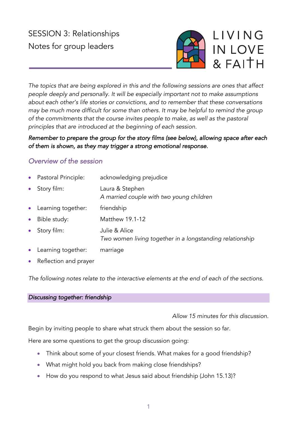# SESSION 3: Relationships Notes for group leaders



*The topics that are being explored in this and the following sessions are ones that affect people deeply and personally. It will be especially important not to make assumptions about each other's life stories or convictions, and to remember that these conversations may be much more difficult for some than others. It may be helpful to remind the group of the commitments that the course invites people to make, as well as the pastoral principles that are introduced at the beginning of each session.*

# *Remember to prepare the group for the story films (see below), allowing space after each of them is shown, as they may trigger a strong emotional response.*

# *Overview of the session*

- Pastoral Principle: acknowledging prejudice
- Story film: Laura & Stephen *A married couple with two young children*
- Learning together: friendship
- Bible study: Matthew 19.1-12
- Story film: Julie & Alice
	- *Two women living together in a longstanding relationship*
- Learning together: marriage
- Reflection and prayer

*The following notes relate to the interactive elements at the end of each of the sections.*

## *Discussing together: friendship*

## *Allow 15 minutes for this discussion.*

Begin by inviting people to share what struck them about the session so far.

Here are some questions to get the group discussion going:

- Think about some of your closest friends. What makes for a good friendship?
- What might hold you back from making close friendships?
- How do you respond to what Jesus said about friendship (John 15.13)?